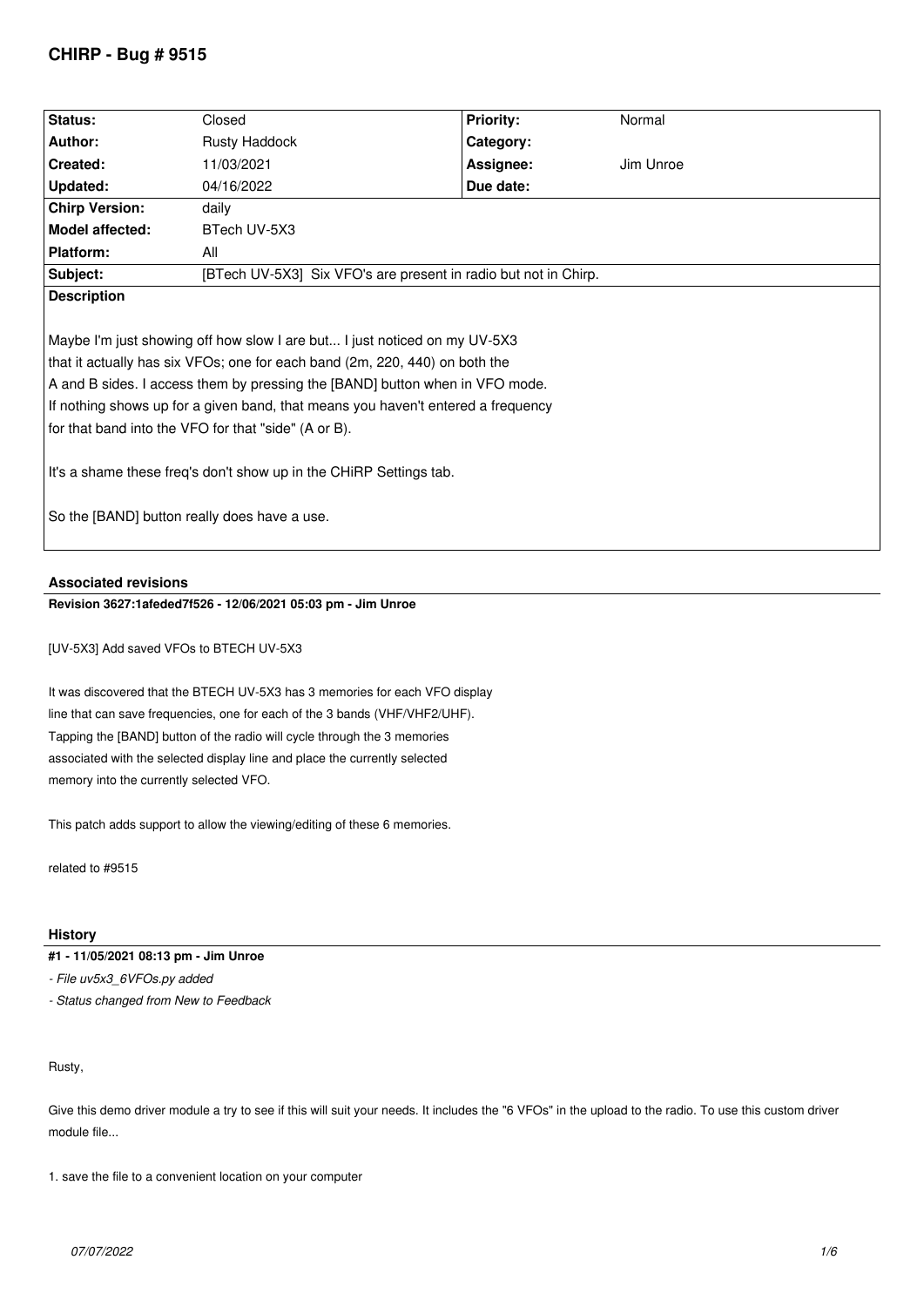# **CHIRP - Bug # 9515**

| Status:                                                                                                                                                                                                                                                                                                                                                                                                                                                                                                    | Closed                                                          | <b>Priority:</b> | Normal    |
|------------------------------------------------------------------------------------------------------------------------------------------------------------------------------------------------------------------------------------------------------------------------------------------------------------------------------------------------------------------------------------------------------------------------------------------------------------------------------------------------------------|-----------------------------------------------------------------|------------------|-----------|
| Author:                                                                                                                                                                                                                                                                                                                                                                                                                                                                                                    | <b>Rusty Haddock</b>                                            | Category:        |           |
| Created:                                                                                                                                                                                                                                                                                                                                                                                                                                                                                                   | 11/03/2021                                                      | Assignee:        | Jim Unroe |
| Updated:                                                                                                                                                                                                                                                                                                                                                                                                                                                                                                   | 04/16/2022                                                      | Due date:        |           |
| <b>Chirp Version:</b>                                                                                                                                                                                                                                                                                                                                                                                                                                                                                      | daily                                                           |                  |           |
| <b>Model affected:</b>                                                                                                                                                                                                                                                                                                                                                                                                                                                                                     | BTech UV-5X3                                                    |                  |           |
| Platform:                                                                                                                                                                                                                                                                                                                                                                                                                                                                                                  | All                                                             |                  |           |
| Subject:                                                                                                                                                                                                                                                                                                                                                                                                                                                                                                   | [BTech UV-5X3] Six VFO's are present in radio but not in Chirp. |                  |           |
| <b>Description</b>                                                                                                                                                                                                                                                                                                                                                                                                                                                                                         |                                                                 |                  |           |
| Maybe I'm just showing off how slow I are but I just noticed on my UV-5X3<br>that it actually has six VFOs; one for each band (2m, 220, 440) on both the<br>A and B sides. I access them by pressing the [BAND] button when in VFO mode.<br>If nothing shows up for a given band, that means you haven't entered a frequency<br>for that band into the VFO for that "side" (A or B).<br>It's a shame these freq's don't show up in the CHiRP Settings tab.<br>So the [BAND] button really does have a use. |                                                                 |                  |           |

# **Associated revisions**

**Revision 3627:1afeded7f526 - 12/06/2021 05:03 pm - Jim Unroe** 

*[UV-5X3] Add saved VFOs to BTECH UV-5X3*

*It was discovered that the BTECH UV-5X3 has 3 memories for each VFO display line that can save frequencies, one for each of the 3 bands (VHF/VHF2/UHF). Tapping the [BAND] button of the radio will cycle through the 3 memories associated with the selected display line and place the currently selected memory into the currently selected VFO.*

*This patch adds support to allow the viewing/editing of these 6 memories.*

*related to #9515*

# **History**

# **#1 - 11/05/2021 08:13 pm - Jim Unroe**

*- File uv5x3\_6VFOs.py added*

*- Status changed from New to Feedback*

## *Rusty,*

*Give this demo driver module a try to see if this will suit your needs. It includes the "6 VFOs" in the upload to the radio. To use this custom driver module file...*

*1. save the file to a convenient location on your computer*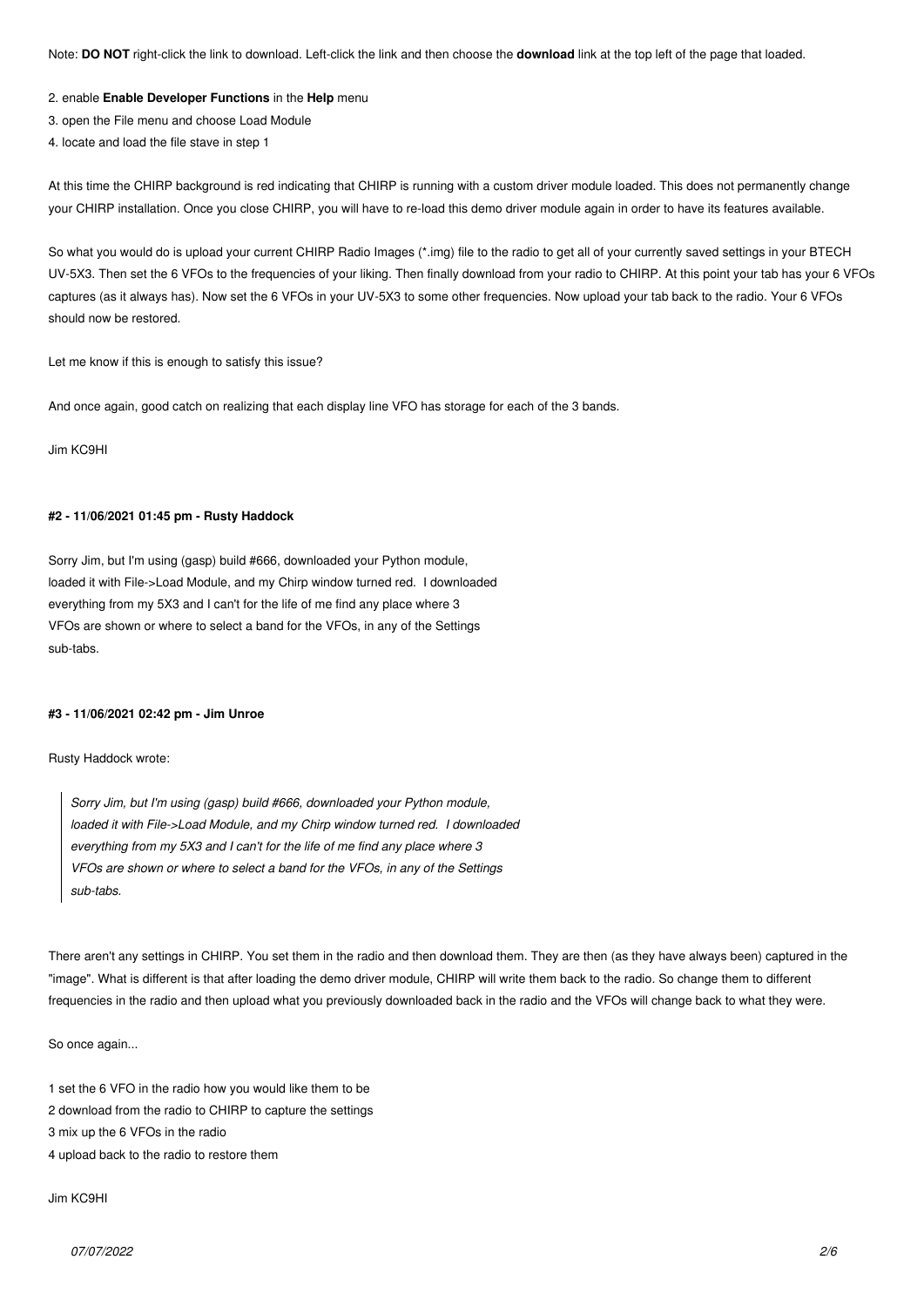*Note:* **DO NOT** *right-click the link to download. Left-click the link and then choose the* **download** *link at the top left of the page that loaded.*

#### *2. enable* **Enable Developer Functions** *in the* **Help** *menu*

- *3. open the File menu and choose Load Module*
- *4. locate and load the file stave in step 1*

*At this time the CHIRP background is red indicating that CHIRP is running with a custom driver module loaded. This does not permanently change your CHIRP installation. Once you close CHIRP, you will have to re-load this demo driver module again in order to have its features available.*

*So what you would do is upload your current CHIRP Radio Images (\*.img) file to the radio to get all of your currently saved settings in your BTECH UV-5X3. Then set the 6 VFOs to the frequencies of your liking. Then finally download from your radio to CHIRP. At this point your tab has your 6 VFOs captures (as it always has). Now set the 6 VFOs in your UV-5X3 to some other frequencies. Now upload your tab back to the radio. Your 6 VFOs should now be restored.*

*Let me know if this is enough to satisfy this issue?*

*And once again, good catch on realizing that each display line VFO has storage for each of the 3 bands.*

*Jim KC9HI*

## **#2 - 11/06/2021 01:45 pm - Rusty Haddock**

*Sorry Jim, but I'm using (gasp) build #666, downloaded your Python module, loaded it with File->Load Module, and my Chirp window turned red. I downloaded everything from my 5X3 and I can't for the life of me find any place where 3 VFOs are shown or where to select a band for the VFOs, in any of the Settings sub-tabs.*

#### **#3 - 11/06/2021 02:42 pm - Jim Unroe**

*Rusty Haddock wrote:*

*Sorry Jim, but I'm using (gasp) build #666, downloaded your Python module, loaded it with File->Load Module, and my Chirp window turned red. I downloaded everything from my 5X3 and I can't for the life of me find any place where 3 VFOs are shown or where to select a band for the VFOs, in any of the Settings sub-tabs.*

*There aren't any settings in CHIRP. You set them in the radio and then download them. They are then (as they have always been) captured in the "image". What is different is that after loading the demo driver module, CHIRP will write them back to the radio. So change them to different frequencies in the radio and then upload what you previously downloaded back in the radio and the VFOs will change back to what they were.*

*So once again...*

*1 set the 6 VFO in the radio how you would like them to be*

- *2 download from the radio to CHIRP to capture the settings*
- *3 mix up the 6 VFOs in the radio*
- *4 upload back to the radio to restore them*

*Jim KC9HI*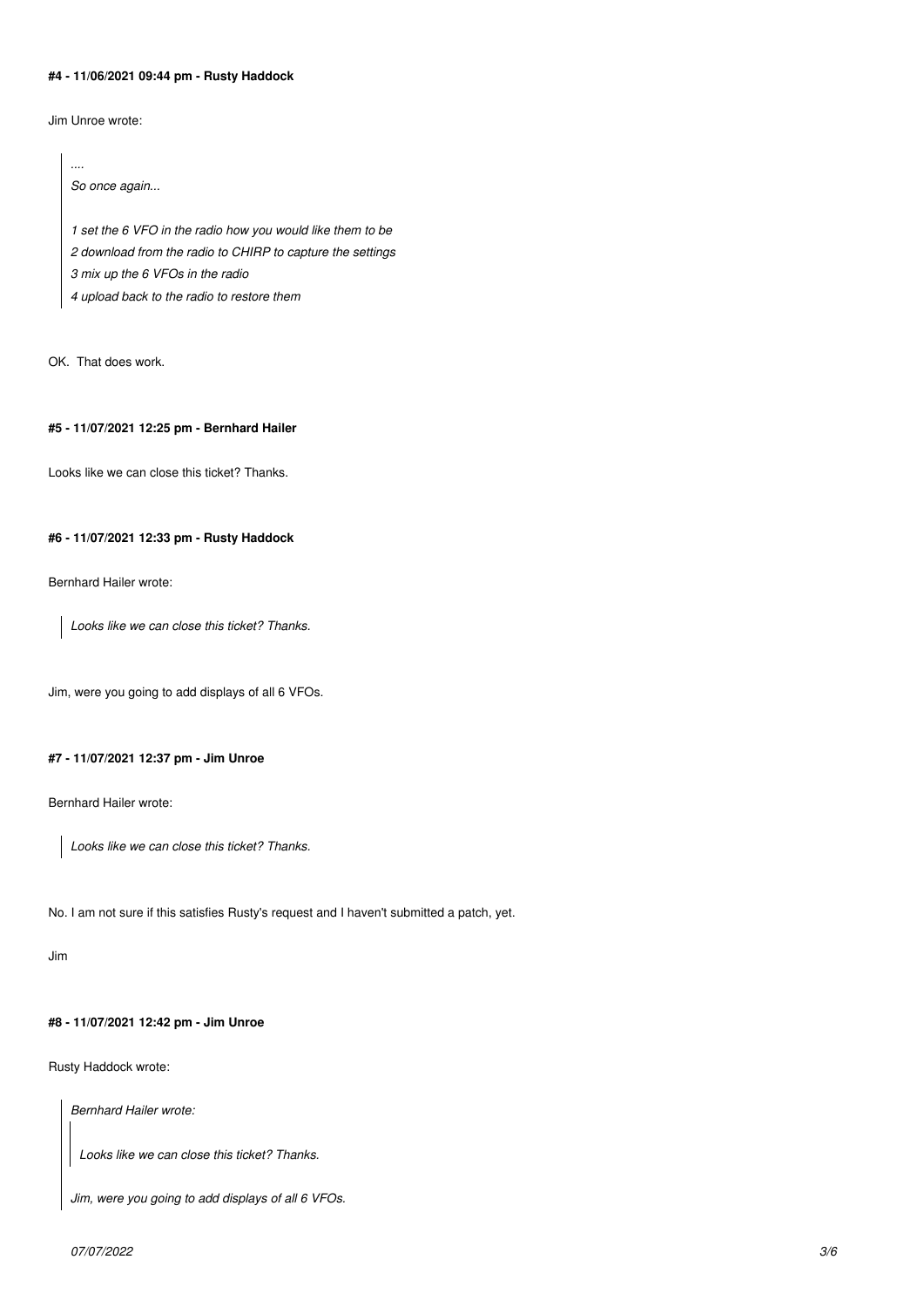# **#4 - 11/06/2021 09:44 pm - Rusty Haddock**

*Jim Unroe wrote:*

*....*

*So once again... 1 set the 6 VFO in the radio how you would like them to be 2 download from the radio to CHIRP to capture the settings 3 mix up the 6 VFOs in the radio 4 upload back to the radio to restore them*

*OK. That does work.*

### **#5 - 11/07/2021 12:25 pm - Bernhard Hailer**

*Looks like we can close this ticket? Thanks.*

# **#6 - 11/07/2021 12:33 pm - Rusty Haddock**

*Bernhard Hailer wrote:*

*Looks like we can close this ticket? Thanks.*

*Jim, were you going to add displays of all 6 VFOs.*

# **#7 - 11/07/2021 12:37 pm - Jim Unroe**

*Bernhard Hailer wrote:*

*Looks like we can close this ticket? Thanks.*

*No. I am not sure if this satisfies Rusty's request and I haven't submitted a patch, yet.*

*Jim*

#### **#8 - 11/07/2021 12:42 pm - Jim Unroe**

*Rusty Haddock wrote:*

*Bernhard Hailer wrote:*

*Looks like we can close this ticket? Thanks.*

*Jim, were you going to add displays of all 6 VFOs.*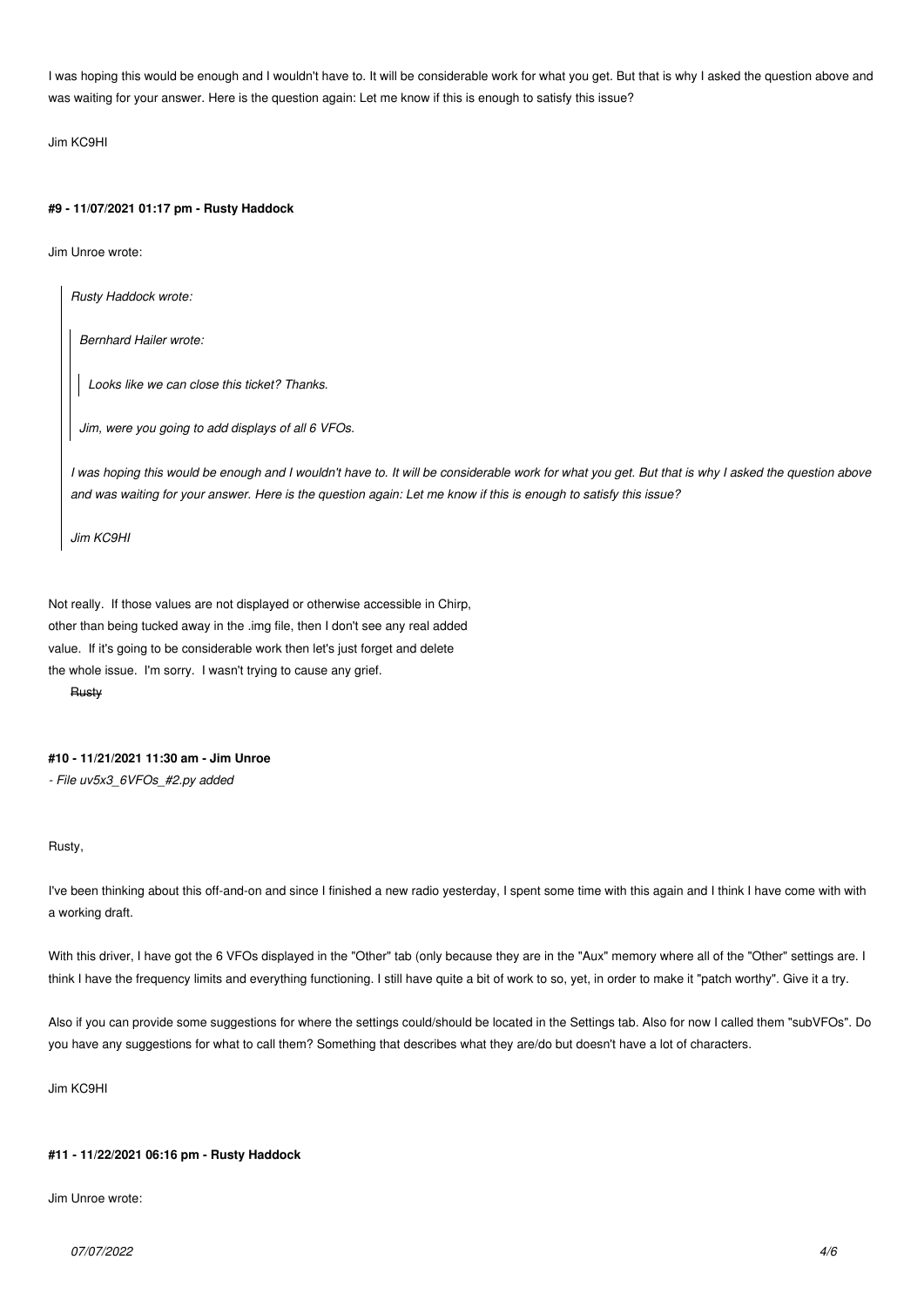*I was hoping this would be enough and I wouldn't have to. It will be considerable work for what you get. But that is why I asked the question above and was waiting for your answer. Here is the question again: Let me know if this is enough to satisfy this issue?*

*Jim KC9HI*

#### **#9 - 11/07/2021 01:17 pm - Rusty Haddock**

*Jim Unroe wrote:*

*Rusty Haddock wrote:*

*Bernhard Hailer wrote:*

*Looks like we can close this ticket? Thanks.*

*Jim, were you going to add displays of all 6 VFOs.*

*I was hoping this would be enough and I wouldn't have to. It will be considerable work for what you get. But that is why I asked the question above and was waiting for your answer. Here is the question again: Let me know if this is enough to satisfy this issue?*

*Jim KC9HI*

*Not really. If those values are not displayed or otherwise accessible in Chirp, other than being tucked away in the .img file, then I don't see any real added value. If it's going to be considerable work then let's just forget and delete the whole issue. I'm sorry. I wasn't trying to cause any grief.*

*Rusty*

### **#10 - 11/21/2021 11:30 am - Jim Unroe**

*- File uv5x3\_6VFOs\_#2.py added*

*Rusty,*

*I've been thinking about this off-and-on and since I finished a new radio yesterday, I spent some time with this again and I think I have come with with a working draft.*

*With this driver, I have got the 6 VFOs displayed in the "Other" tab (only because they are in the "Aux" memory where all of the "Other" settings are. I think I have the frequency limits and everything functioning. I still have quite a bit of work to so, yet, in order to make it "patch worthy". Give it a try.*

*Also if you can provide some suggestions for where the settings could/should be located in the Settings tab. Also for now I called them "subVFOs". Do you have any suggestions for what to call them? Something that describes what they are/do but doesn't have a lot of characters.*

*Jim KC9HI*

## **#11 - 11/22/2021 06:16 pm - Rusty Haddock**

*Jim Unroe wrote:*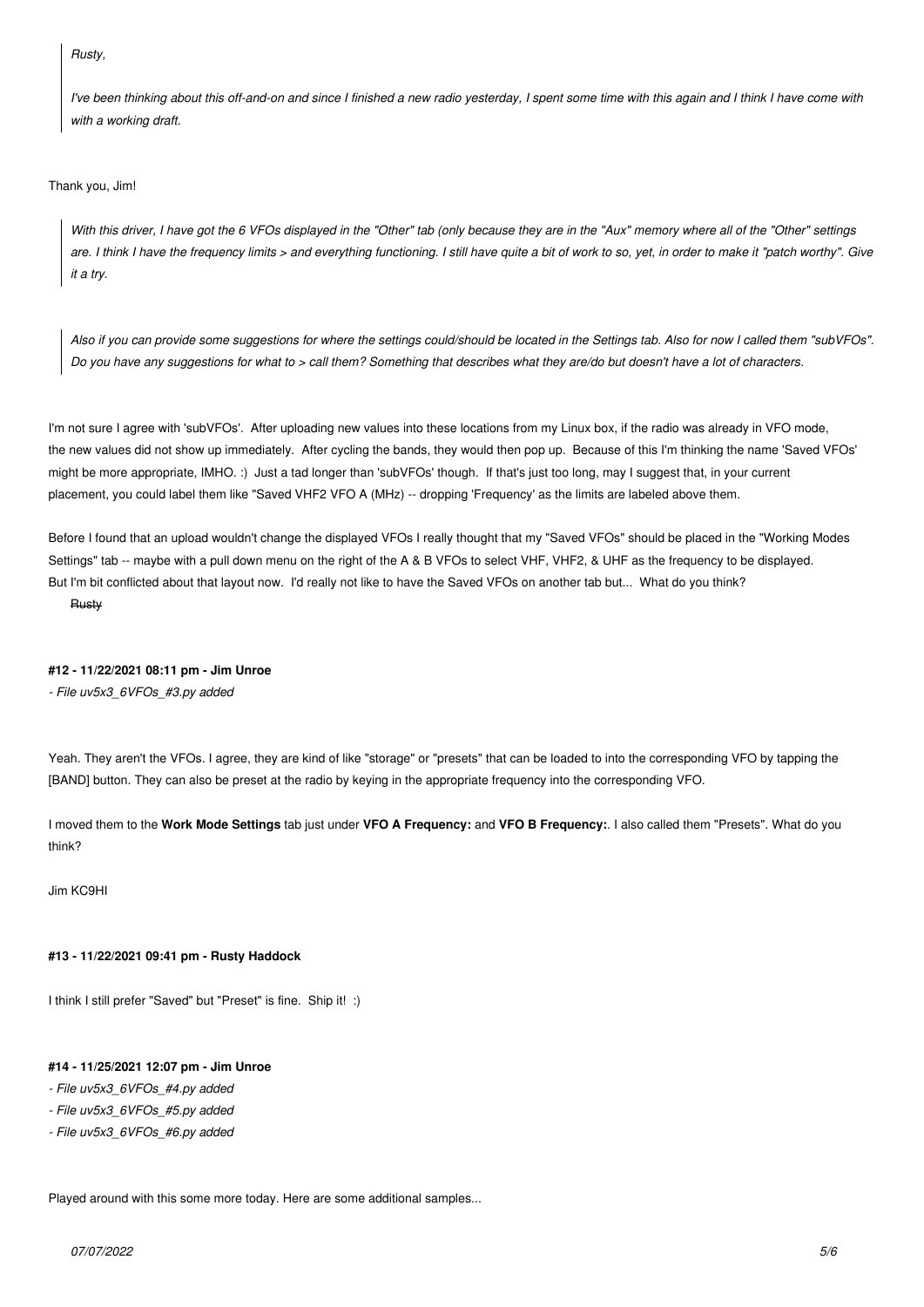## *Rusty,*

*I've been thinking about this off-and-on and since I finished a new radio yesterday, I spent some time with this again and I think I have come with with a working draft.*

#### *Thank you, Jim!*

*With this driver, I have got the 6 VFOs displayed in the "Other" tab (only because they are in the "Aux" memory where all of the "Other" settings are. I think I have the frequency limits > and everything functioning. I still have quite a bit of work to so, yet, in order to make it "patch worthy". Give it a try.*

*Also if you can provide some suggestions for where the settings could/should be located in the Settings tab. Also for now I called them "subVFOs". Do you have any suggestions for what to > call them? Something that describes what they are/do but doesn't have a lot of characters.*

*I'm not sure I agree with 'subVFOs'. After uploading new values into these locations from my Linux box, if the radio was already in VFO mode, the new values did not show up immediately. After cycling the bands, they would then pop up. Because of this I'm thinking the name 'Saved VFOs' might be more appropriate, IMHO. :) Just a tad longer than 'subVFOs' though. If that's just too long, may I suggest that, in your current placement, you could label them like "Saved VHF2 VFO A (MHz) -- dropping 'Frequency' as the limits are labeled above them.*

*Before I found that an upload wouldn't change the displayed VFOs I really thought that my "Saved VFOs" should be placed in the "Working Modes Settings" tab -- maybe with a pull down menu on the right of the A & B VFOs to select VHF, VHF2, & UHF as the frequency to be displayed. But I'm bit conflicted about that layout now. I'd really not like to have the Saved VFOs on another tab but... What do you think? Rusty*

### **#12 - 11/22/2021 08:11 pm - Jim Unroe**

*- File uv5x3\_6VFOs\_#3.py added*

*Yeah. They aren't the VFOs. I agree, they are kind of like "storage" or "presets" that can be loaded to into the corresponding VFO by tapping the [BAND] button. They can also be preset at the radio by keying in the appropriate frequency into the corresponding VFO.*

*I moved them to the* **Work Mode Settings** *tab just under* **VFO A Frequency:** *and* **VFO B Frequency:***. I also called them "Presets". What do you think?*

*Jim KC9HI*

#### **#13 - 11/22/2021 09:41 pm - Rusty Haddock**

*I think I still prefer "Saved" but "Preset" is fine. Ship it! :)*

# **#14 - 11/25/2021 12:07 pm - Jim Unroe**

*- File uv5x3\_6VFOs\_#4.py added*

- *File uv5x3\_6VFOs\_#5.py added*
- *File uv5x3\_6VFOs\_#6.py added*

*Played around with this some more today. Here are some additional samples...*